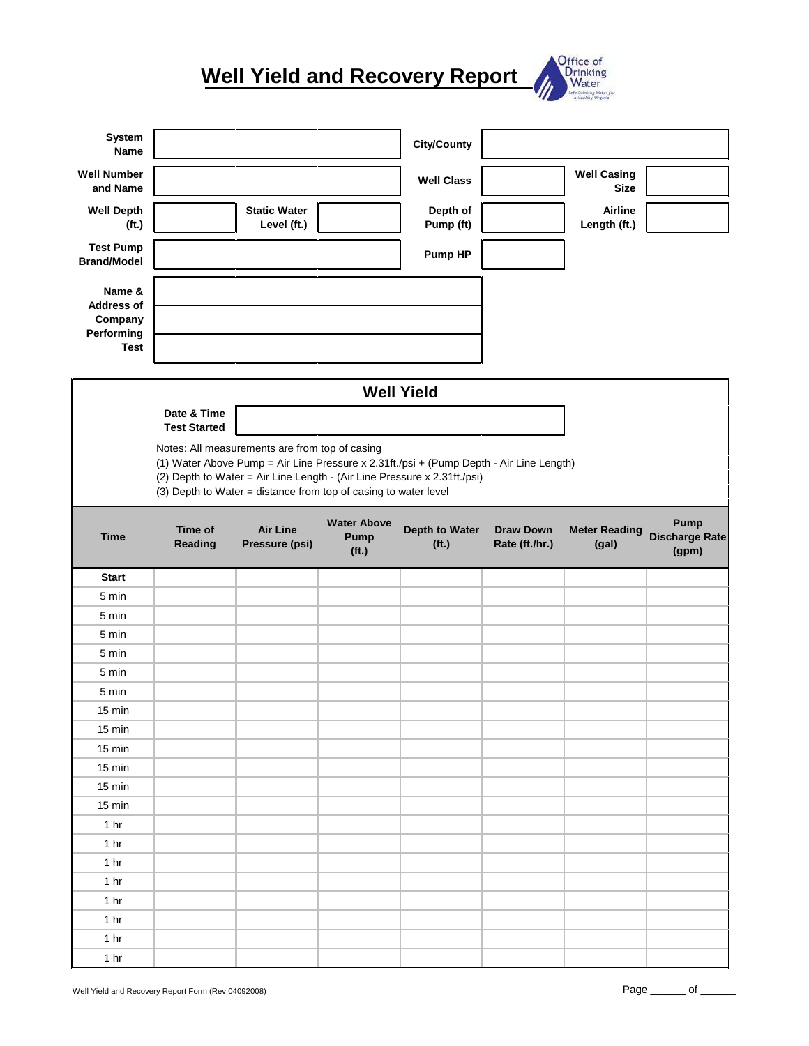## **Well Yield and Recovery Report**



| System<br>Name                                       |                                                                                                                                                                                                                                                                                          |                                    |                                   | <b>City/County</b>    |                  |                                   |                               |
|------------------------------------------------------|------------------------------------------------------------------------------------------------------------------------------------------------------------------------------------------------------------------------------------------------------------------------------------------|------------------------------------|-----------------------------------|-----------------------|------------------|-----------------------------------|-------------------------------|
| <b>Well Number</b><br>and Name                       |                                                                                                                                                                                                                                                                                          |                                    |                                   | <b>Well Class</b>     |                  | <b>Well Casing</b><br><b>Size</b> |                               |
| <b>Well Depth</b><br>(f <sub>t</sub> )               |                                                                                                                                                                                                                                                                                          | <b>Static Water</b><br>Level (ft.) |                                   | Depth of<br>Pump (ft) |                  | Airline<br>Length (ft.)           |                               |
| <b>Test Pump</b><br><b>Brand/Model</b>               |                                                                                                                                                                                                                                                                                          |                                    |                                   | Pump HP               |                  |                                   |                               |
| Name &<br><b>Address of</b><br>Company<br>Performing |                                                                                                                                                                                                                                                                                          |                                    |                                   |                       |                  |                                   |                               |
| <b>Test</b>                                          |                                                                                                                                                                                                                                                                                          |                                    |                                   |                       |                  |                                   |                               |
|                                                      |                                                                                                                                                                                                                                                                                          |                                    |                                   | <b>Well Yield</b>     |                  |                                   |                               |
|                                                      | Date & Time<br><b>Test Started</b>                                                                                                                                                                                                                                                       |                                    |                                   |                       |                  |                                   |                               |
|                                                      | Notes: All measurements are from top of casing<br>(1) Water Above Pump = Air Line Pressure x 2.31ft./psi + (Pump Depth - Air Line Length)<br>(2) Depth to Water = Air Line Length - (Air Line Pressure x 2.31ft./psi)<br>(3) Depth to Water = distance from top of casing to water level |                                    |                                   |                       |                  |                                   |                               |
| <b>Time</b>                                          | Time of<br>Reading                                                                                                                                                                                                                                                                       | <b>Air Line</b><br>Pressure (psi)  | <b>Water Above</b><br><b>Pump</b> | Depth to Water        | <b>Draw Down</b> | <b>Meter Reading</b>              | Pump<br><b>Discharge Rate</b> |
|                                                      |                                                                                                                                                                                                                                                                                          |                                    | (f <sub>t</sub> )                 | (f <sup>t</sup> )     | Rate (ft./hr.)   | (gal)                             | (gpm)                         |
| <b>Start</b>                                         |                                                                                                                                                                                                                                                                                          |                                    |                                   |                       |                  |                                   |                               |
| 5 min                                                |                                                                                                                                                                                                                                                                                          |                                    |                                   |                       |                  |                                   |                               |
| 5 min                                                |                                                                                                                                                                                                                                                                                          |                                    |                                   |                       |                  |                                   |                               |
| 5 min                                                |                                                                                                                                                                                                                                                                                          |                                    |                                   |                       |                  |                                   |                               |
| 5 min                                                |                                                                                                                                                                                                                                                                                          |                                    |                                   |                       |                  |                                   |                               |
| 5 min                                                |                                                                                                                                                                                                                                                                                          |                                    |                                   |                       |                  |                                   |                               |
| 5 min                                                |                                                                                                                                                                                                                                                                                          |                                    |                                   |                       |                  |                                   |                               |
| 15 min                                               |                                                                                                                                                                                                                                                                                          |                                    |                                   |                       |                  |                                   |                               |
| 15 min                                               |                                                                                                                                                                                                                                                                                          |                                    |                                   |                       |                  |                                   |                               |
| 15 min                                               |                                                                                                                                                                                                                                                                                          |                                    |                                   |                       |                  |                                   |                               |
| 15 min                                               |                                                                                                                                                                                                                                                                                          |                                    |                                   |                       |                  |                                   |                               |
| 15 min                                               |                                                                                                                                                                                                                                                                                          |                                    |                                   |                       |                  |                                   |                               |
| 15 min                                               |                                                                                                                                                                                                                                                                                          |                                    |                                   |                       |                  |                                   |                               |
| 1 <sub>hr</sub>                                      |                                                                                                                                                                                                                                                                                          |                                    |                                   |                       |                  |                                   |                               |
| 1 <sub>hr</sub>                                      |                                                                                                                                                                                                                                                                                          |                                    |                                   |                       |                  |                                   |                               |
| 1 <sub>hr</sub>                                      |                                                                                                                                                                                                                                                                                          |                                    |                                   |                       |                  |                                   |                               |
| 1 <sub>hr</sub>                                      |                                                                                                                                                                                                                                                                                          |                                    |                                   |                       |                  |                                   |                               |
| 1 <sub>hr</sub>                                      |                                                                                                                                                                                                                                                                                          |                                    |                                   |                       |                  |                                   |                               |
| 1 <sub>hr</sub>                                      |                                                                                                                                                                                                                                                                                          |                                    |                                   |                       |                  |                                   |                               |
| 1 <sub>hr</sub><br>1 <sub>hr</sub>                   |                                                                                                                                                                                                                                                                                          |                                    |                                   |                       |                  |                                   |                               |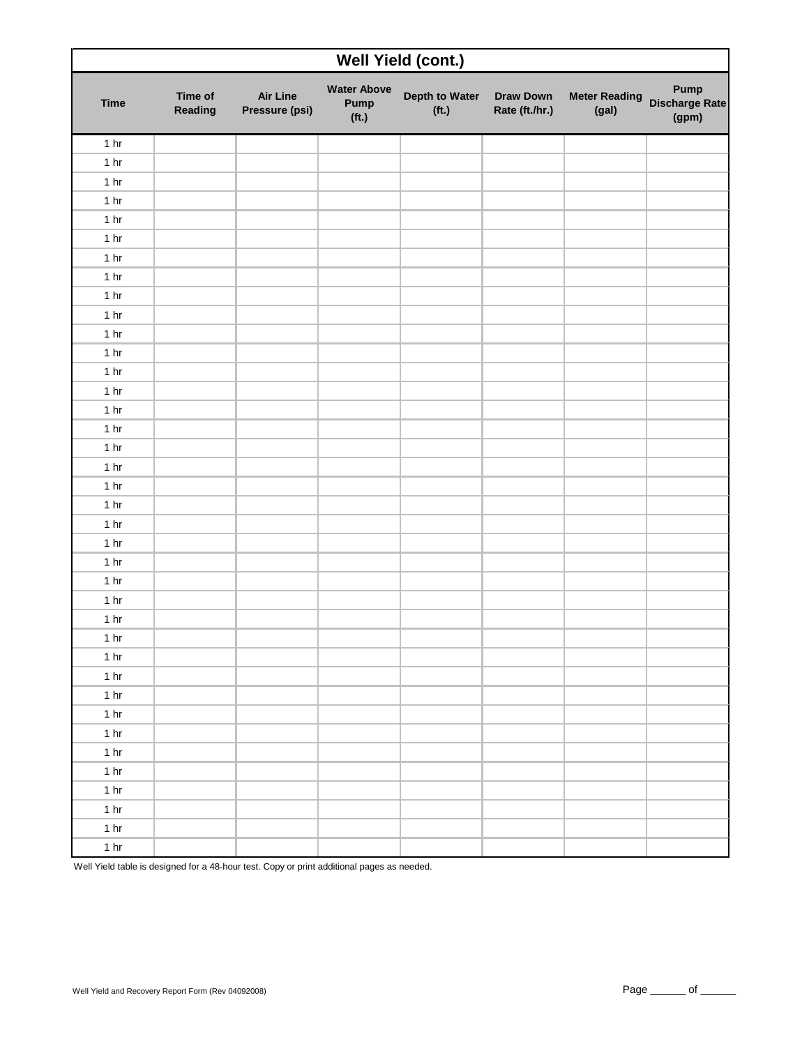| Well Yield (cont.) |                    |                                   |                                                 |                                     |                                    |                               |                                 |
|--------------------|--------------------|-----------------------------------|-------------------------------------------------|-------------------------------------|------------------------------------|-------------------------------|---------------------------------|
| <b>Time</b>        | Time of<br>Reading | <b>Air Line</b><br>Pressure (psi) | <b>Water Above</b><br>Pump<br>(f <sub>t</sub> ) | Depth to Water<br>(f <sup>t</sup> ) | <b>Draw Down</b><br>Rate (ft./hr.) | <b>Meter Reading</b><br>(gal) | Pump<br>Discharge Rate<br>(gpm) |
| 1 <sub>hr</sub>    |                    |                                   |                                                 |                                     |                                    |                               |                                 |
| 1 <sub>hr</sub>    |                    |                                   |                                                 |                                     |                                    |                               |                                 |
| 1 <sub>hr</sub>    |                    |                                   |                                                 |                                     |                                    |                               |                                 |
| 1 <sub>hr</sub>    |                    |                                   |                                                 |                                     |                                    |                               |                                 |
| 1 <sub>hr</sub>    |                    |                                   |                                                 |                                     |                                    |                               |                                 |
| 1 <sub>hr</sub>    |                    |                                   |                                                 |                                     |                                    |                               |                                 |
| 1 <sub>hr</sub>    |                    |                                   |                                                 |                                     |                                    |                               |                                 |
| 1 <sub>hr</sub>    |                    |                                   |                                                 |                                     |                                    |                               |                                 |
| 1 <sub>hr</sub>    |                    |                                   |                                                 |                                     |                                    |                               |                                 |
| 1 <sub>hr</sub>    |                    |                                   |                                                 |                                     |                                    |                               |                                 |
| 1 <sub>hr</sub>    |                    |                                   |                                                 |                                     |                                    |                               |                                 |
| 1 <sub>hr</sub>    |                    |                                   |                                                 |                                     |                                    |                               |                                 |
| 1 <sub>hr</sub>    |                    |                                   |                                                 |                                     |                                    |                               |                                 |
| 1 <sub>hr</sub>    |                    |                                   |                                                 |                                     |                                    |                               |                                 |
| 1 <sub>hr</sub>    |                    |                                   |                                                 |                                     |                                    |                               |                                 |
| 1 <sub>hr</sub>    |                    |                                   |                                                 |                                     |                                    |                               |                                 |
| 1 <sub>hr</sub>    |                    |                                   |                                                 |                                     |                                    |                               |                                 |
| 1 <sub>hr</sub>    |                    |                                   |                                                 |                                     |                                    |                               |                                 |
| 1 <sub>hr</sub>    |                    |                                   |                                                 |                                     |                                    |                               |                                 |
| 1 <sub>hr</sub>    |                    |                                   |                                                 |                                     |                                    |                               |                                 |
| 1 <sub>hr</sub>    |                    |                                   |                                                 |                                     |                                    |                               |                                 |
| 1 <sub>hr</sub>    |                    |                                   |                                                 |                                     |                                    |                               |                                 |
| 1 <sub>hr</sub>    |                    |                                   |                                                 |                                     |                                    |                               |                                 |
| 1 <sub>hr</sub>    |                    |                                   |                                                 |                                     |                                    |                               |                                 |
| 1 <sub>hr</sub>    |                    |                                   |                                                 |                                     |                                    |                               |                                 |
| 1 <sub>hr</sub>    |                    |                                   |                                                 |                                     |                                    |                               |                                 |
| 1 <sub>hr</sub>    |                    |                                   |                                                 |                                     |                                    |                               |                                 |
| 1 <sub>hr</sub>    |                    |                                   |                                                 |                                     |                                    |                               |                                 |
| 1 <sub>hr</sub>    |                    |                                   |                                                 |                                     |                                    |                               |                                 |
| 1 <sub>hr</sub>    |                    |                                   |                                                 |                                     |                                    |                               |                                 |
| 1 <sub>hr</sub>    |                    |                                   |                                                 |                                     |                                    |                               |                                 |
| 1 <sub>hr</sub>    |                    |                                   |                                                 |                                     |                                    |                               |                                 |
| 1 <sub>hr</sub>    |                    |                                   |                                                 |                                     |                                    |                               |                                 |
| 1 <sub>hr</sub>    |                    |                                   |                                                 |                                     |                                    |                               |                                 |
| 1 <sub>hr</sub>    |                    |                                   |                                                 |                                     |                                    |                               |                                 |
| 1 <sub>hr</sub>    |                    |                                   |                                                 |                                     |                                    |                               |                                 |
| 1 <sub>hr</sub>    |                    |                                   |                                                 |                                     |                                    |                               |                                 |
| 1 <sub>hr</sub>    |                    |                                   |                                                 |                                     |                                    |                               |                                 |

Well Yield table is designed for a 48-hour test. Copy or print additional pages as needed.